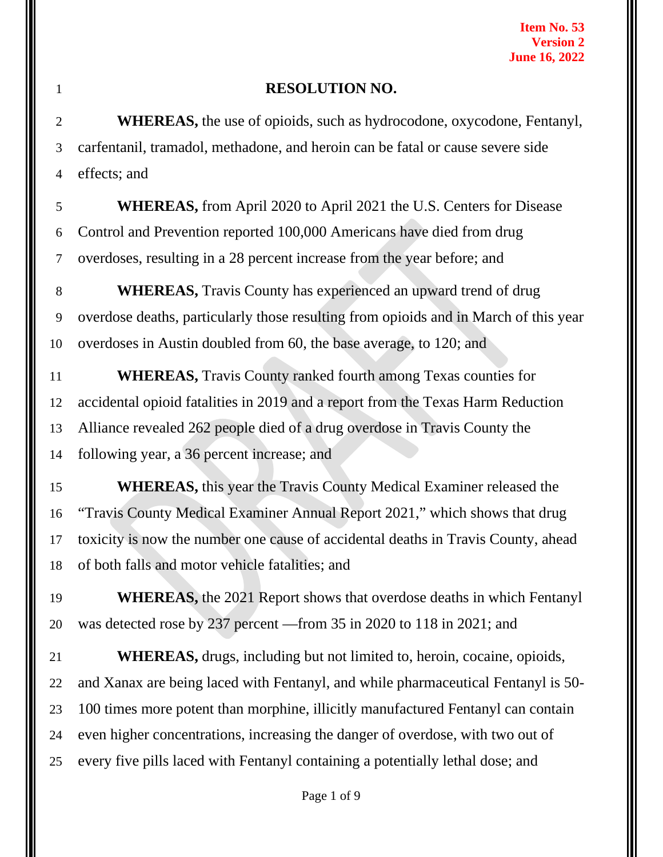#### **RESOLUTION NO.**

 **WHEREAS,** the use of opioids, such as hydrocodone, oxycodone, Fentanyl, carfentanil, tramadol, methadone, and heroin can be fatal or cause severe side effects; and

 **WHEREAS,** from April 2020 to April 2021 the U.S. Centers for Disease Control and Prevention reported 100,000 Americans have died from drug overdoses, resulting in a 28 percent increase from the year before; and

 **WHEREAS,** Travis County has experienced an upward trend of drug overdose deaths, particularly those resulting from opioids and in March of this year overdoses in Austin doubled from 60, the base average, to 120; and

 **WHEREAS,** Travis County ranked fourth among Texas counties for accidental opioid fatalities in 2019 and a report from the Texas Harm Reduction Alliance revealed 262 people died of a drug overdose in Travis County the following year, a 36 percent increase; and

 **WHEREAS,** this year the Travis County Medical Examiner released the "Travis County Medical Examiner Annual Report 2021," which shows that drug toxicity is now the number one cause of accidental deaths in Travis County, ahead of both falls and motor vehicle fatalities; and

**WHEREAS**, the 2021 Report shows that overdose deaths in which Fentanyl was detected rose by 237 percent —from 35 in 2020 to 118 in 2021; and

 **WHEREAS,** drugs, including but not limited to, heroin, cocaine, opioids, and Xanax are being laced with Fentanyl, and while pharmaceutical Fentanyl is 50- 100 times more potent than morphine, illicitly manufactured Fentanyl can contain even higher concentrations, increasing the danger of overdose, with two out of every five pills laced with Fentanyl containing a potentially lethal dose; and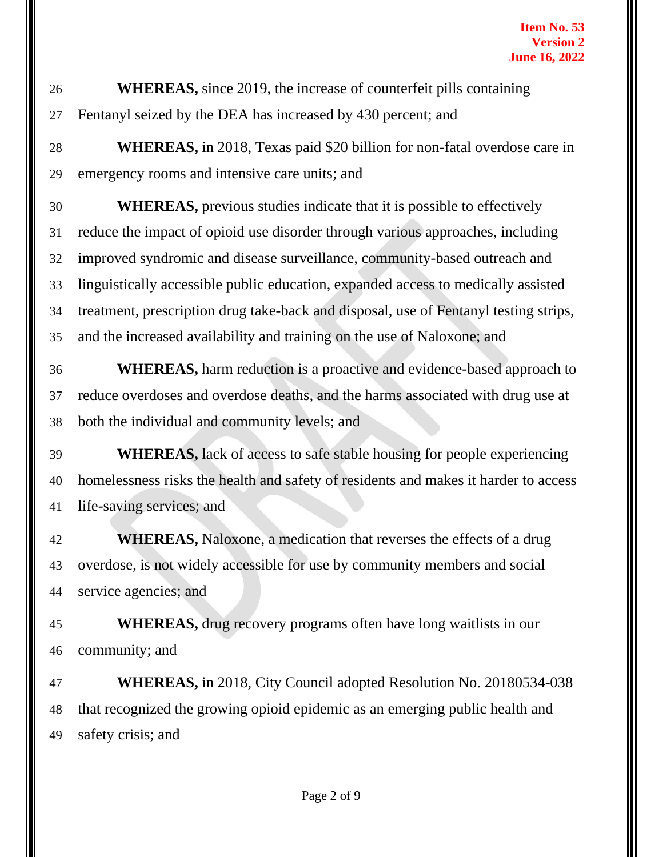**WHEREAS,** since 2019, the increase of counterfeit pills containing Fentanyl seized by the DEA has increased by 430 percent; and

 **WHEREAS,** in 2018, Texas paid \$20 billion for non-fatal overdose care in emergency rooms and intensive care units; and

 **WHEREAS,** previous studies indicate that it is possible to effectively reduce the impact of opioid use disorder through various approaches, including improved syndromic and disease surveillance, community-based outreach and linguistically accessible public education, expanded access to medically assisted treatment, prescription drug take-back and disposal, use of Fentanyl testing strips, and the increased availability and training on the use of Naloxone; and

 **WHEREAS,** harm reduction is a proactive and evidence-based approach to reduce overdoses and overdose deaths, and the harms associated with drug use at both the individual and community levels; and

 **WHEREAS,** lack of access to safe stable housing for people experiencing homelessness risks the health and safety of residents and makes it harder to access life-saving services; and

 **WHEREAS,** Naloxone, a medication that reverses the effects of a drug overdose, is not widely accessible for use by community members and social service agencies; and

 **WHEREAS,** drug recovery programs often have long waitlists in our community; and

 **WHEREAS,** in 2018, City Council adopted Resolution No. 20180534-038 that recognized the growing opioid epidemic as an emerging public health and safety crisis; and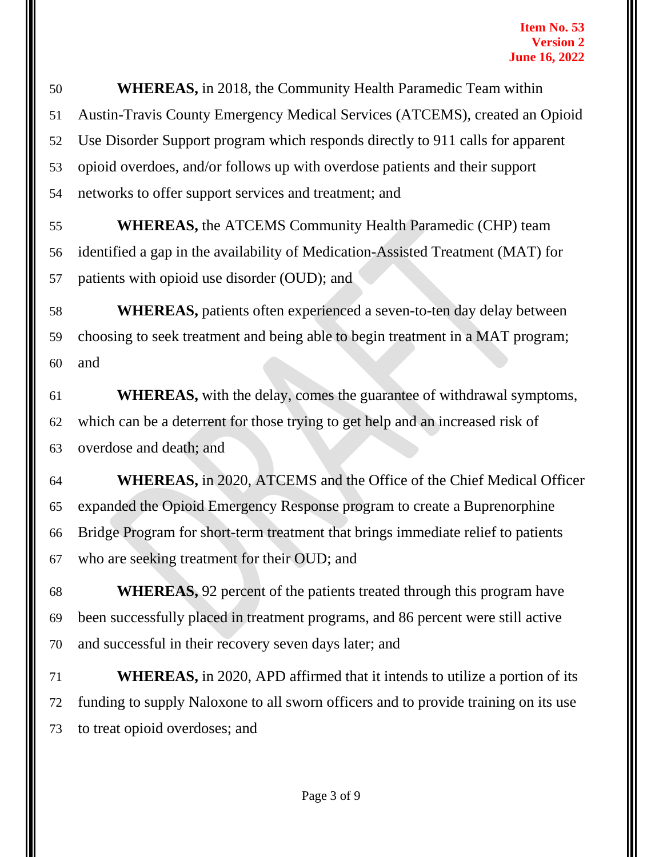**WHEREAS,** in 2018, the Community Health Paramedic Team within Austin-Travis County Emergency Medical Services (ATCEMS), created an Opioid Use Disorder Support program which responds directly to 911 calls for apparent opioid overdoes, and/or follows up with overdose patients and their support networks to offer support services and treatment; and

 **WHEREAS,** the ATCEMS Community Health Paramedic (CHP) team identified a gap in the availability of Medication-Assisted Treatment (MAT) for patients with opioid use disorder (OUD); and

 **WHEREAS,** patients often experienced a seven-to-ten day delay between choosing to seek treatment and being able to begin treatment in a MAT program; and

 **WHEREAS,** with the delay, comes the guarantee of withdrawal symptoms, which can be a deterrent for those trying to get help and an increased risk of overdose and death; and

 **WHEREAS,** in 2020, ATCEMS and the Office of the Chief Medical Officer expanded the Opioid Emergency Response program to create a Buprenorphine Bridge Program for short-term treatment that brings immediate relief to patients who are seeking treatment for their OUD; and

 **WHEREAS,** 92 percent of the patients treated through this program have been successfully placed in treatment programs, and 86 percent were still active and successful in their recovery seven days later; and

 **WHEREAS,** in 2020, APD affirmed that it intends to utilize a portion of its funding to supply Naloxone to all sworn officers and to provide training on its use to treat opioid overdoses; and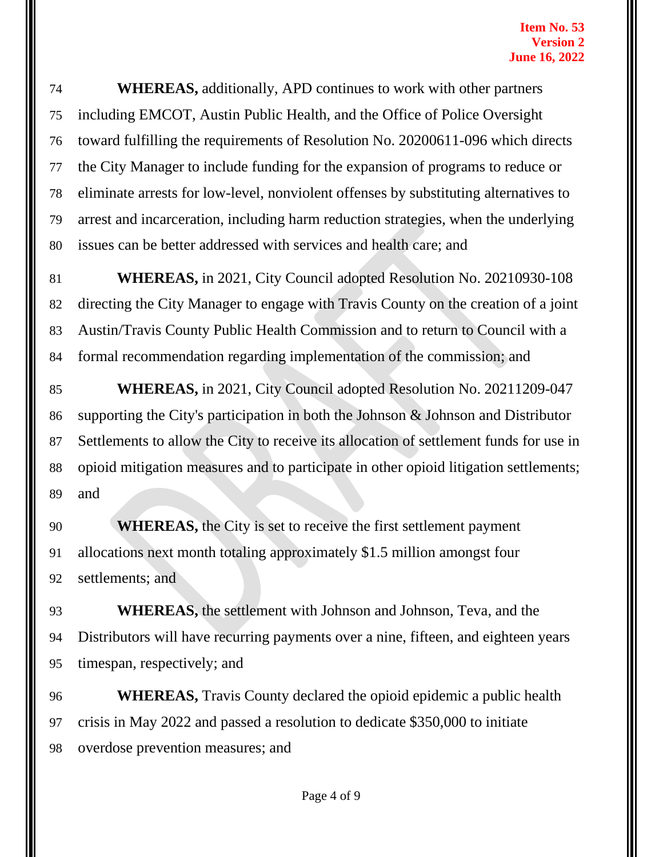**WHEREAS,** additionally, APD continues to work with other partners including EMCOT, Austin Public Health, and the Office of Police Oversight toward fulfilling the requirements of Resolution No. 20200611-096 which directs the City Manager to include funding for the expansion of programs to reduce or eliminate arrests for low-level, nonviolent offenses by substituting alternatives to arrest and incarceration, including harm reduction strategies, when the underlying issues can be better addressed with services and health care; and

 **WHEREAS,** in 2021, City Council adopted Resolution No. 20210930-108 directing the City Manager to engage with Travis County on the creation of a joint Austin/Travis County Public Health Commission and to return to Council with a formal recommendation regarding implementation of the commission; and

 **WHEREAS,** in 2021, City Council adopted Resolution No. 20211209-047 supporting the City's participation in both the Johnson & Johnson and Distributor Settlements to allow the City to receive its allocation of settlement funds for use in opioid mitigation measures and to participate in other opioid litigation settlements; and

**WHEREAS,** the City is set to receive the first settlement payment allocations next month totaling approximately \$1.5 million amongst four settlements; and

 **WHEREAS,** the settlement with Johnson and Johnson, Teva, and the Distributors will have recurring payments over a nine, fifteen, and eighteen years timespan, respectively; and

 **WHEREAS,** Travis County declared the opioid epidemic a public health crisis in May 2022 and passed a resolution to dedicate \$350,000 to initiate overdose prevention measures; and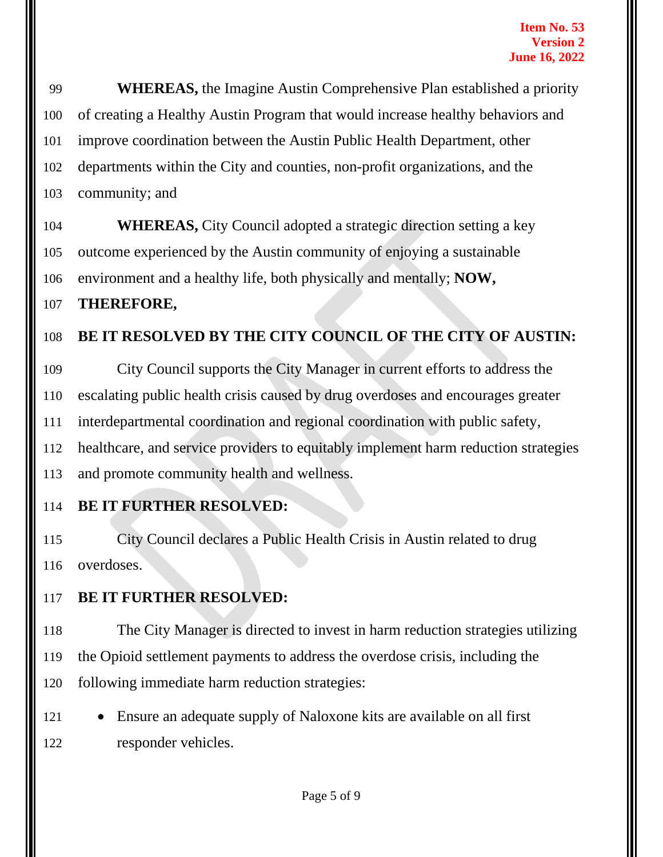**WHEREAS,** the Imagine Austin Comprehensive Plan established a priority of creating a Healthy Austin Program that would increase healthy behaviors and improve coordination between the Austin Public Health Department, other departments within the City and counties, non-profit organizations, and the community; and

 **WHEREAS,** City Council adopted a strategic direction setting a key outcome experienced by the Austin community of enjoying a sustainable environment and a healthy life, both physically and mentally; **NOW,**

### **THEREFORE,**

### **BE IT RESOLVED BY THE CITY COUNCIL OF THE CITY OF AUSTIN:**

 City Council supports the City Manager in current efforts to address the escalating public health crisis caused by drug overdoses and encourages greater interdepartmental coordination and regional coordination with public safety, healthcare, and service providers to equitably implement harm reduction strategies and promote community health and wellness.

### **BE IT FURTHER RESOLVED:**

 City Council declares a Public Health Crisis in Austin related to drug overdoses.

### **BE IT FURTHER RESOLVED:**

 The City Manager is directed to invest in harm reduction strategies utilizing the Opioid settlement payments to address the overdose crisis, including the following immediate harm reduction strategies:

 • Ensure an adequate supply of Naloxone kits are available on all first responder vehicles.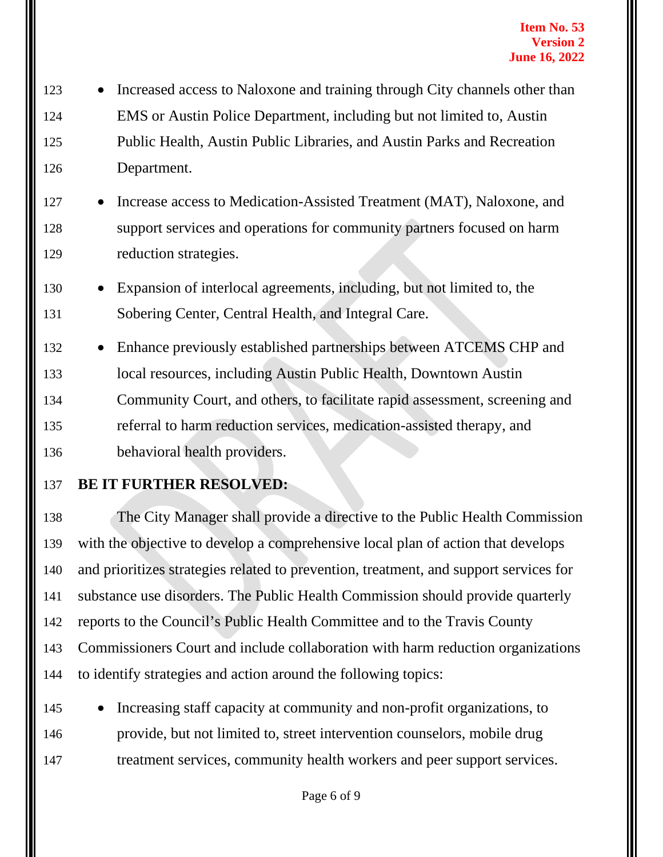- Increased access to Naloxone and training through City channels other than EMS or Austin Police Department, including but not limited to, Austin Public Health, Austin Public Libraries, and Austin Parks and Recreation Department.
- Increase access to Medication-Assisted Treatment (MAT), Naloxone, and 128 support services and operations for community partners focused on harm reduction strategies.
- Expansion of interlocal agreements, including, but not limited to, the Sobering Center, Central Health, and Integral Care.
- Enhance previously established partnerships between ATCEMS CHP and local resources, including Austin Public Health, Downtown Austin Community Court, and others, to facilitate rapid assessment, screening and referral to harm reduction services, medication-assisted therapy, and behavioral health providers.
- 

# **BE IT FURTHER RESOLVED:**

 The City Manager shall provide a directive to the Public Health Commission with the objective to develop a comprehensive local plan of action that develops and prioritizes strategies related to prevention, treatment, and support services for substance use disorders. The Public Health Commission should provide quarterly reports to the Council's Public Health Committee and to the Travis County Commissioners Court and include collaboration with harm reduction organizations to identify strategies and action around the following topics:

 • Increasing staff capacity at community and non-profit organizations, to provide, but not limited to, street intervention counselors, mobile drug treatment services, community health workers and peer support services.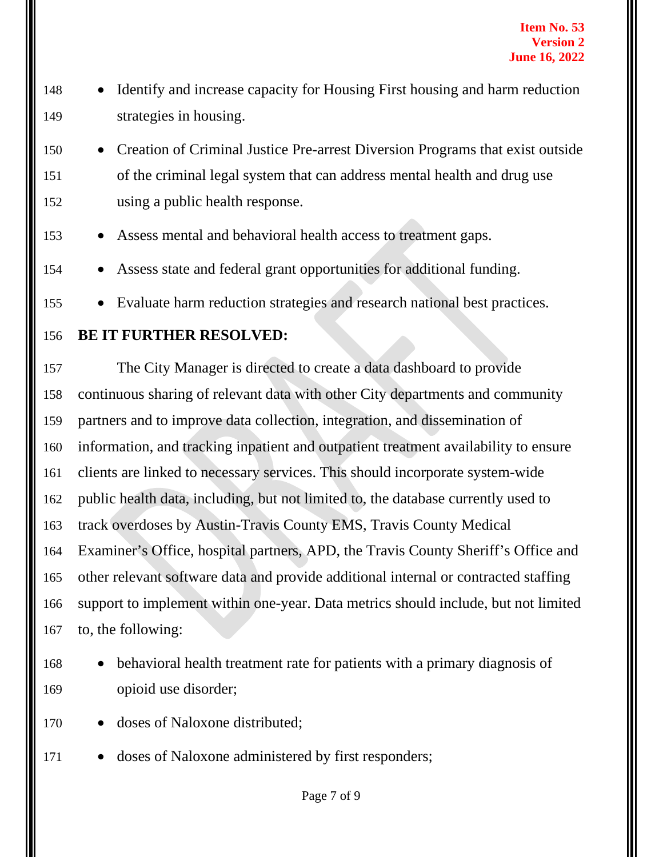- 148 Identify and increase capacity for Housing First housing and harm reduction strategies in housing.
- Creation of Criminal Justice Pre-arrest Diversion Programs that exist outside of the criminal legal system that can address mental health and drug use using a public health response.
- Assess mental and behavioral health access to treatment gaps.
- 154 Assess state and federal grant opportunities for additional funding.
- Evaluate harm reduction strategies and research national best practices.
- **BE IT FURTHER RESOLVED:**

 The City Manager is directed to create a data dashboard to provide continuous sharing of relevant data with other City departments and community partners and to improve data collection, integration, and dissemination of information, and tracking inpatient and outpatient treatment availability to ensure clients are linked to necessary services. This should incorporate system-wide public health data, including, but not limited to, the database currently used to track overdoses by Austin-Travis County EMS, Travis County Medical Examiner's Office, hospital partners, APD, the Travis County Sheriff's Office and other relevant software data and provide additional internal or contracted staffing support to implement within one-year. Data metrics should include, but not limited to, the following:

 • behavioral health treatment rate for patients with a primary diagnosis of opioid use disorder;

- 170 doses of Naloxone distributed:
- doses of Naloxone administered by first responders;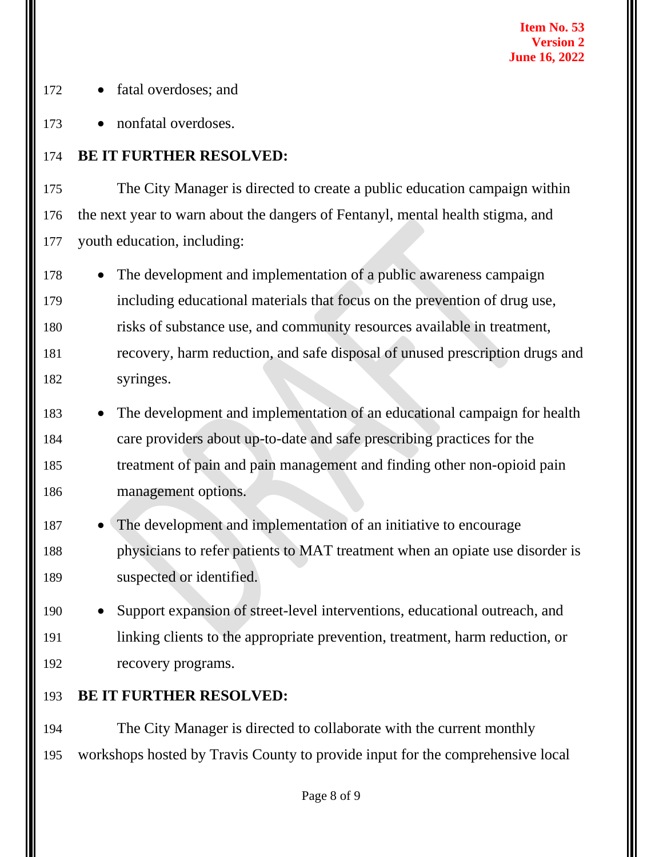- fatal overdoses; and
- nonfatal overdoses.

## **BE IT FURTHER RESOLVED:**

 The City Manager is directed to create a public education campaign within the next year to warn about the dangers of Fentanyl, mental health stigma, and youth education, including:

- The development and implementation of a public awareness campaign including educational materials that focus on the prevention of drug use, risks of substance use, and community resources available in treatment, recovery, harm reduction, and safe disposal of unused prescription drugs and syringes.
- The development and implementation of an educational campaign for health care providers about up-to-date and safe prescribing practices for the treatment of pain and pain management and finding other non-opioid pain management options.
- The development and implementation of an initiative to encourage physicians to refer patients to MAT treatment when an opiate use disorder is suspected or identified.
- Support expansion of street-level interventions, educational outreach, and linking clients to the appropriate prevention, treatment, harm reduction, or recovery programs.
- **BE IT FURTHER RESOLVED:**

 The City Manager is directed to collaborate with the current monthly workshops hosted by Travis County to provide input for the comprehensive local